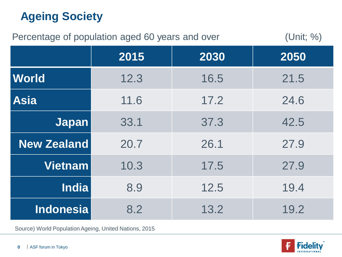# **Ageing Society**

| (Unit; %)<br>Percentage of population aged 60 years and over |      |      |      |
|--------------------------------------------------------------|------|------|------|
|                                                              | 2015 | 2030 | 2050 |
| <b>World</b>                                                 | 12.3 | 16.5 | 21.5 |
| <b>Asia</b>                                                  | 11.6 | 17.2 | 24.6 |
| <b>Japan</b>                                                 | 33.1 | 37.3 | 42.5 |
| <b>New Zealand</b>                                           | 20.7 | 26.1 | 27.9 |
| <b>Vietnam</b>                                               | 10.3 | 17.5 | 27.9 |
| <b>India</b>                                                 | 8.9  | 12.5 | 19.4 |
| <b>Indonesia</b>                                             | 8.2  | 13.2 | 19.2 |

Source) World Population Ageing, United Nations, 2015

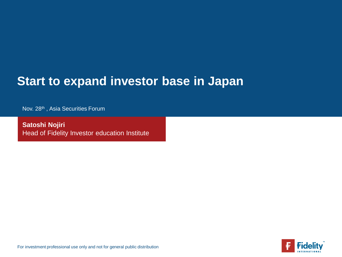## **Start to expand investor base in Japan**

Nov. 28<sup>th</sup>, Asia Securities Forum

**Satoshi Nojiri**  Head of Fidelity Investor education Institute



For investment professional use only and not for general public distribution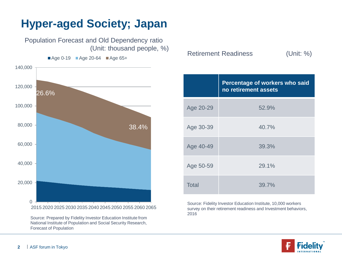# **Hyper-aged Society; Japan**

Population Forecast and Old Dependency ratio (Unit: thousand people, %)

 $\blacksquare$  Age 0-19  $\blacksquare$  Age 20-64  $\blacksquare$  Age 65+

 $\Omega$ 20,000 40,000 60,000 80,000 100,000 120,000 140,000 2015 2020 2025 2030 2035 2040 2045 2050 2055 2060 2065 26.6% 38.4%

> Source: Prepared by Fidelity Investor Education Institute from National Institute of Population and Social Security Research, Forecast of Population

Retirement Readiness (Unit: %)

|           | Percentage of workers who said<br>no retirement assets |
|-----------|--------------------------------------------------------|
| Age 20-29 | 52.9%                                                  |
| Age 30-39 | 40.7%                                                  |
| Age 40-49 | 39.3%                                                  |
| Age 50-59 | 29.1%                                                  |
| Total     | 39.7%                                                  |

Source: Fidelity Investor Education Institute, 10,000 workers survey on their retirement readiness and Investment behaviors, 2016

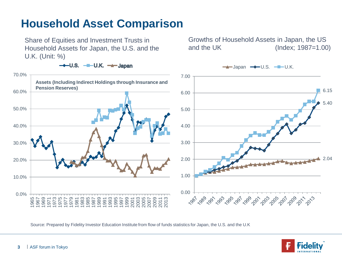#### **Household Asset Comparison**

Share of Equities and Investment Trusts in Household Assets for Japan, the U.S. and the U.K. (Unit: %)

Growths of Household Assets in Japan, the US and the UK (Index; 1987=1.00)



Source: Prepared by Fidelity Investor Education Institute from flow of funds statistics for Japan, the U.S. and the U.K

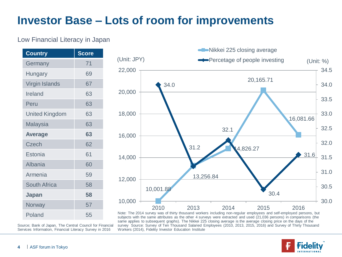## **Investor Base – Lots of room for improvements**

#### Low Financial Literacy in Japan

| <b>Country</b>        | <b>Score</b> |
|-----------------------|--------------|
| Germany               | 71           |
| Hungary               | 69           |
| Virgin Islands        | 67           |
| Ireland               | 63           |
| Peru                  | 63           |
| <b>United Kingdom</b> | 63           |
| Malaysia              | 63           |
| <b>Average</b>        | 63           |
| <b>Czech</b>          | 62           |
| Estonia               | 61           |
| Albania               | 60           |
| Armenia               | 59           |
| <b>South Africa</b>   | 58           |
| Japan                 | 58           |
| Norway                | 57           |
| Poland                | 55           |



Note: The 2014 survey was of thirty thousand workers including non-regular employees and self-employed persons, but subjects with the same attributes as the other 4 surveys were extracted and used (21,036 persons) in comparisons (the same applies to subsequent graphs). The Nikkei 225 closing average is the average closing price on the days of the survey Source: Survey of Ten Thousand Salaried Employees (2010, 2013, 2015, 2016) and Survey of Thirty Thousand Workers (2014), Fidelity Investor Education Institute



Source; Bank of Japan, The Central Council for Financial Services Information, Financial Literacy Survey in 2016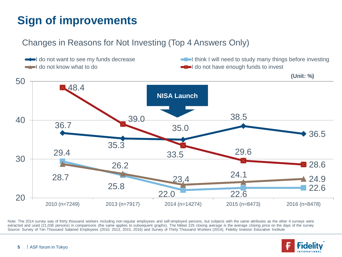# **Sign of improvements**

#### Changes in Reasons for Not Investing (Top 4 Answers Only)



Note: The 2014 survey was of thirty thousand workers including non-regular employees and self-employed persons, but subjects with the same attributes as the other 4 surveys were extracted and used (21,036 persons) in comparisons (the same applies to subsequent graphs). The Nikkei 225 closing average is the average closing price on the days of the survey Source: Survey of Ten Thousand Salaried Employees (2010, 2013, 2015, 2016) and Survey of Thirty Thousand Workers (2014), Fidelity Investor Education Institute

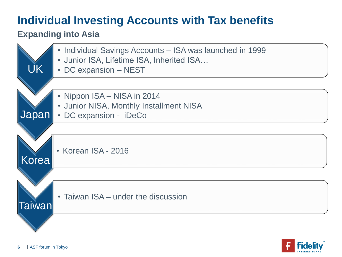# **Individual Investing Accounts with Tax benefits**

#### **Expanding into Asia**